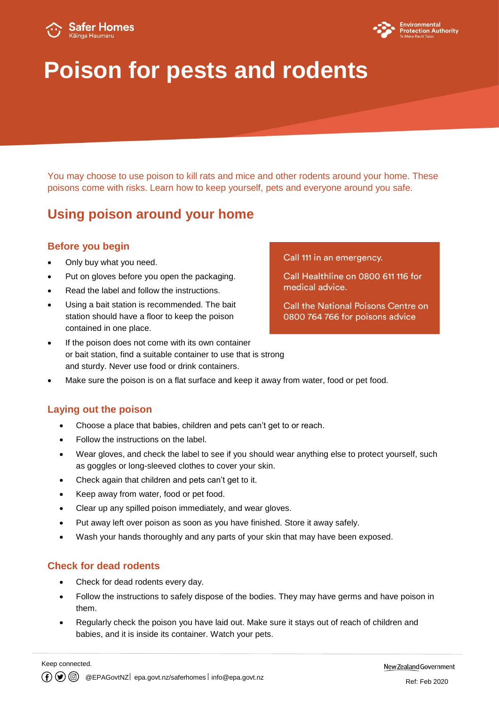



# **Poison for pests and rodents**

You may choose to use poison to kill rats and mice and other rodents around your home. These poisons come with risks. Learn how to keep yourself, pets and everyone around you safe.

## **Using poison around your home**

#### **Before you begin**

- Only buy what you need.
- Put on gloves before you open the packaging.
- Read the label and follow the instructions.
- Using a bait station is recommended. The bait station should have a floor to keep the poison contained in one place.
- If the poison does not come with its own container or bait station, find a suitable container to use that is strong and sturdy. Never use food or drink containers.
- Make sure the poison is on a flat surface and keep it away from water, food or pet food.

#### **Laying out the poison**

- Choose a place that babies, children and pets can't get to or reach.
- Follow the instructions on the label.
- Wear gloves, and check the label to see if you should wear anything else to protect yourself, such as goggles or long-sleeved clothes to cover your skin.
- Check again that children and pets can't get to it.
- Keep away from water, food or pet food.
- Clear up any spilled poison immediately, and wear gloves.
- Put away left over poison as soon as you have finished. Store it away safely.
- Wash your hands thoroughly and any parts of your skin that may have been exposed.

#### **Check for dead rodents**

- Check for dead rodents every day.
- Follow the instructions to safely dispose of the bodies. They may have germs and have poison in them.
- Regularly check the poison you have laid out. Make sure it stays out of reach of children and babies, and it is inside its container. Watch your pets.

#### Call 111 in an emergency.

Call Healthline on 0800 611 116 for medical advice.

Call the National Poisons Centre on 0800 764 766 for poisons advice